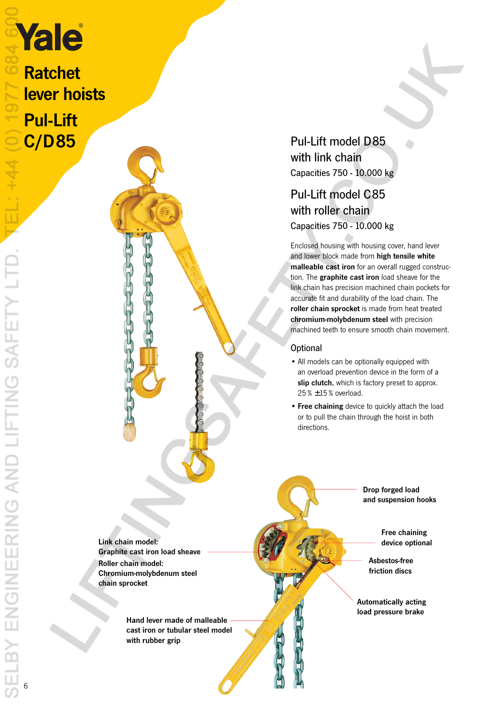Ratchet lever hoists Pul-Lift

C/D85 Pul-Lift model D85 with link chain Capacities 750 - 10.000 kg

## Pul-Lift model C85 with roller chain Capacities 750 - 10.000 kg

Enclosed housing with housing cover, hand lever and lower block made from high tensile white malleable cast iron for an overall rugged construction. The graphite cast iron load sheave for the link chain has precision machined chain pockets for accurate fit and durability of the load chain. The roller chain sprocket is made from heat treated chromium-molybdenum steel with precision machined teeth to ensure smooth chain movement.

### **Optional**

- All models can be optionally equipped with an overload prevention device in the form of a slip clutch, which is factory preset to approx.  $25% \pm 15%$  overload.
- Free chaining device to quickly attach the load or to pull the chain through the hoist in both directions.

Link chain model: Graphite cast iron load sheave Roller chain model: Chromium-molybdenum steel chain sprocket

> Hand lever made of malleable cast iron or tubular steel model with rubber grip

Drop forged load and suspension hooks

> Free chaining device optional

Asbestos-free friction discs

Automatically acting load pressure brake